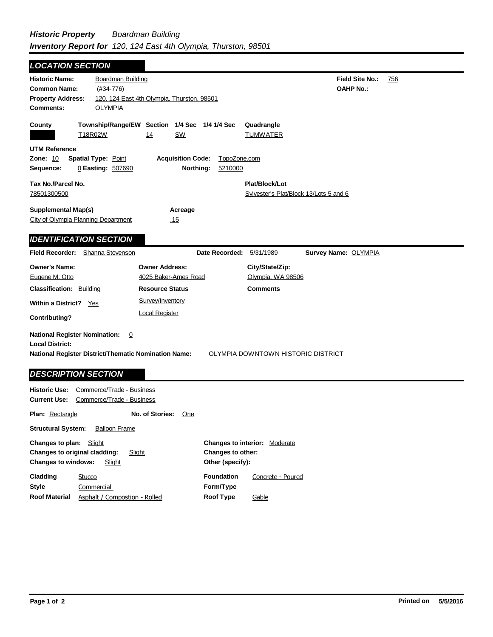| <b>LOCATION SECTION</b>                                                                                                       |                                                        |                                                                  |                                      |                                                          |                                     |     |
|-------------------------------------------------------------------------------------------------------------------------------|--------------------------------------------------------|------------------------------------------------------------------|--------------------------------------|----------------------------------------------------------|-------------------------------------|-----|
| <b>Historic Name:</b><br><b>Common Name:</b><br><b>Property Address:</b><br><b>Comments:</b>                                  | Boardman Building<br>$(#34-776)$<br><b>OLYMPIA</b>     | 120, 124 East 4th Olympia, Thurston, 98501                       |                                      |                                                          | Field Site No.:<br><b>OAHP No.:</b> | 756 |
| County                                                                                                                        | T18R02W                                                | Township/Range/EW Section 1/4 Sec 1/4 1/4 Sec<br><b>SW</b><br>14 |                                      | Quadrangle<br><b>TUMWATER</b>                            |                                     |     |
| <b>UTM Reference</b><br><b>Zone: 10</b><br>Sequence:                                                                          | <b>Spatial Type: Point</b><br>0 Easting: 507690        | <b>Acquisition Code:</b>                                         | TopoZone.com<br>Northing:<br>5210000 |                                                          |                                     |     |
| Tax No./Parcel No.<br>78501300500                                                                                             |                                                        |                                                                  |                                      | Plat/Block/Lot<br>Sylvester's Plat/Block 13/Lots 5 and 6 |                                     |     |
| <b>Supplemental Map(s)</b><br>City of Olympia Planning Department                                                             |                                                        | Acreage<br><u>.15</u>                                            |                                      |                                                          |                                     |     |
| <b>IDENTIFICATION SECTION</b>                                                                                                 |                                                        |                                                                  |                                      |                                                          |                                     |     |
| <b>Field Recorder:</b>                                                                                                        | Shanna Stevenson                                       |                                                                  | Date Recorded:                       | 5/31/1989                                                | <b>Survey Name: OLYMPIA</b>         |     |
| <b>Owner's Name:</b><br>Eugene M. Otto                                                                                        |                                                        | <b>Owner Address:</b><br>4025 Baker-Ames Road                    |                                      | City/State/Zip:<br>Olympia, WA 98506                     |                                     |     |
| <b>Classification: Building</b>                                                                                               |                                                        | <b>Resource Status</b>                                           |                                      | <b>Comments</b>                                          |                                     |     |
| Within a District? Yes<br><b>Contributing?</b>                                                                                |                                                        | Survey/Inventory<br><b>Local Register</b>                        |                                      |                                                          |                                     |     |
| <b>National Register Nomination:</b><br><b>Local District:</b><br><b>National Register District/Thematic Nomination Name:</b> | $\overline{0}$                                         |                                                                  |                                      | OLYMPIA DOWNTOWN HISTORIC DISTRICT                       |                                     |     |
| <b>DESCRIPTION SECTION</b>                                                                                                    |                                                        |                                                                  |                                      |                                                          |                                     |     |
| <b>Historic Use:</b><br><b>Current Use:</b>                                                                                   | Commerce/Trade - Business<br>Commerce/Trade - Business |                                                                  |                                      |                                                          |                                     |     |
| <b>Plan: Rectangle</b>                                                                                                        |                                                        | No. of Stories:<br>One                                           |                                      |                                                          |                                     |     |
| <b>Structural System:</b>                                                                                                     | <b>Balloon Frame</b>                                   |                                                                  |                                      |                                                          |                                     |     |

| <b>Changes to plan:</b> Slight<br>Changes to original cladding:<br><b>Changes to windows:</b> | Slight<br>Slight              | Changes to other:<br>Other (specify): | <b>Changes to interior: Moderate</b> |
|-----------------------------------------------------------------------------------------------|-------------------------------|---------------------------------------|--------------------------------------|
| Cladding                                                                                      | Stucco                        | <b>Foundation</b>                     | Concrete - Poured                    |
| Style                                                                                         | Commercial                    | Form/Type                             |                                      |
| <b>Roof Material</b>                                                                          | Asphalt / Compostion - Rolled | Roof Type                             | Gable                                |